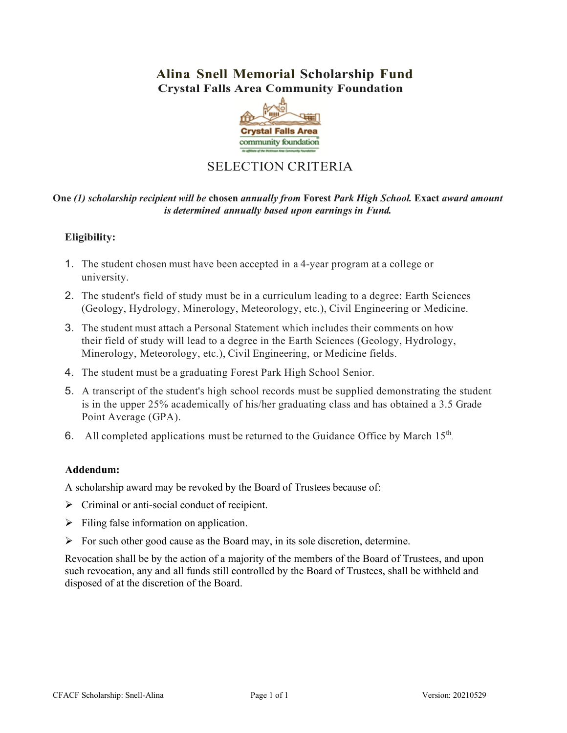# **Alina Snell Memorial Scholarship Fund Crystal Falls Area Community Foundation**



# SELECTION CRITERIA

## **One** *(1) scholarship recipient will be* **chosen** *annually from* **Forest** *Park High School.* **Exact** *award amount is determined annually based upon earnings in Fund.*

# **Eligibility:**

- 1. The student chosen must have been accepted in a 4‐year program at a college or university.
- 2. The student's field of study must be in a curriculum leading to a degree: Earth Sciences (Geology, Hydrology, Minerology, Meteorology, etc.), Civil Engineering or Medicine.
- 3. The student must attach a Personal Statement which includes their comments on how their field of study will lead to a degree in the Earth Sciences (Geology, Hydrology, Minerology, Meteorology, etc.), Civil Engineering, or Medicine fields.
- 4. The student must be a graduating Forest Park High School Senior.
- 5. A transcript of the student's high school records must be supplied demonstrating the student is in the upper 25% academically of his/her graduating class and has obtained a 3.5 Grade Point Average (GPA).
- 6. All completed applications must be returned to the Guidance Office by March 15<sup>th</sup>.

### **Addendum:**

A scholarship award may be revoked by the Board of Trustees because of:

- $\triangleright$  Criminal or anti-social conduct of recipient.
- $\triangleright$  Filing false information on application.
- $\triangleright$  For such other good cause as the Board may, in its sole discretion, determine.

Revocation shall be by the action of a majority of the members of the Board of Trustees, and upon such revocation, any and all funds still controlled by the Board of Trustees, shall be withheld and disposed of at the discretion of the Board.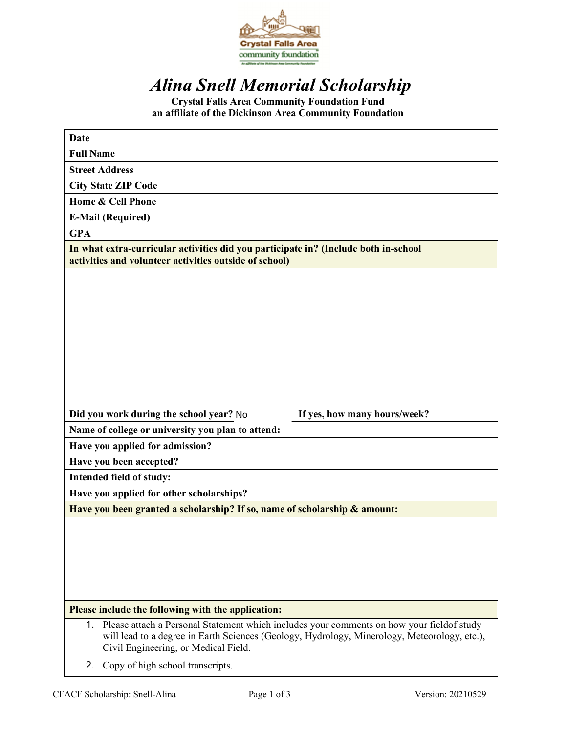

# *Alina Snell Memorial Scholarship*

**Crystal Falls Area Community Foundation Fund an affiliate of the Dickinson Area Community Foundation**

| <b>Date</b>                                                          |                                                                                                                                                                                            |
|----------------------------------------------------------------------|--------------------------------------------------------------------------------------------------------------------------------------------------------------------------------------------|
| <b>Full Name</b>                                                     |                                                                                                                                                                                            |
| <b>Street Address</b>                                                |                                                                                                                                                                                            |
| <b>City State ZIP Code</b>                                           |                                                                                                                                                                                            |
| Home & Cell Phone                                                    |                                                                                                                                                                                            |
| <b>E-Mail (Required)</b>                                             |                                                                                                                                                                                            |
| <b>GPA</b>                                                           |                                                                                                                                                                                            |
| activities and volunteer activities outside of school)               | In what extra-curricular activities did you participate in? (Include both in-school                                                                                                        |
|                                                                      |                                                                                                                                                                                            |
| Did you work during the school year? No                              | If yes, how many hours/week?                                                                                                                                                               |
| Name of college or university you plan to attend:                    |                                                                                                                                                                                            |
| Have you applied for admission?                                      |                                                                                                                                                                                            |
| Have you been accepted?                                              |                                                                                                                                                                                            |
| Intended field of study:<br>Have you applied for other scholarships? |                                                                                                                                                                                            |
|                                                                      |                                                                                                                                                                                            |
|                                                                      | Have you been granted a scholarship? If so, name of scholarship & amount:                                                                                                                  |
|                                                                      |                                                                                                                                                                                            |
| Please include the following with the application:                   |                                                                                                                                                                                            |
| 1.<br>Civil Engineering, or Medical Field.                           | Please attach a Personal Statement which includes your comments on how your field of study<br>will lead to a degree in Earth Sciences (Geology, Hydrology, Minerology, Meteorology, etc.), |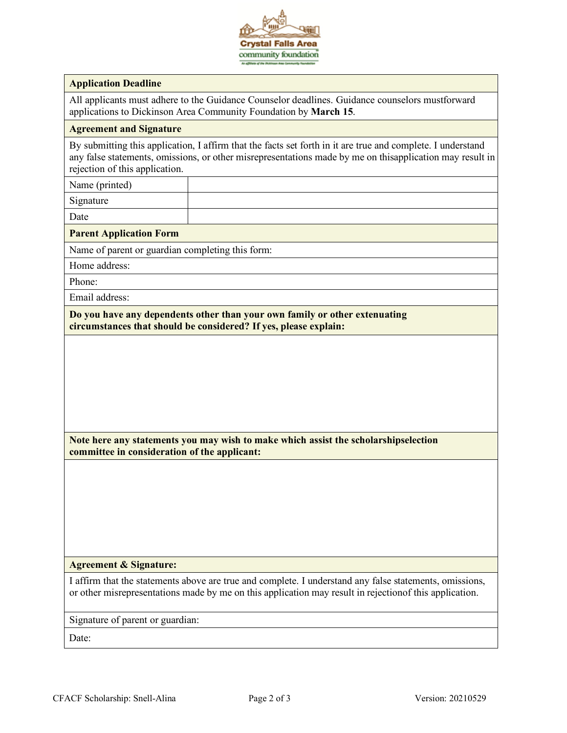

#### **Application Deadline**

All applicants must adhere to the Guidance Counselor deadlines. Guidance counselors mustforward applications to Dickinson Area Community Foundation by **March 15**.

#### **Agreement and Signature**

By submitting this application, I affirm that the facts set forth in it are true and complete. I understand any false statements, omissions, or other misrepresentations made by me on thisapplication may result in rejection of this application.

Name (printed)

Signature

Date

#### **Parent Application Form**

Name of parent or guardian completing this form:

Home address:

Phone:

Email address:

**Do you have any dependents other than your own family or other extenuating circumstances that should be considered? If yes, please explain:**

**Note here any statements you may wish to make which assist the scholarshipselection committee in consideration of the applicant:**

#### **Agreement & Signature:**

I affirm that the statements above are true and complete. I understand any false statements, omissions, or other misrepresentations made by me on this application may result in rejectionof this application.

Signature of parent or guardian:

Date: